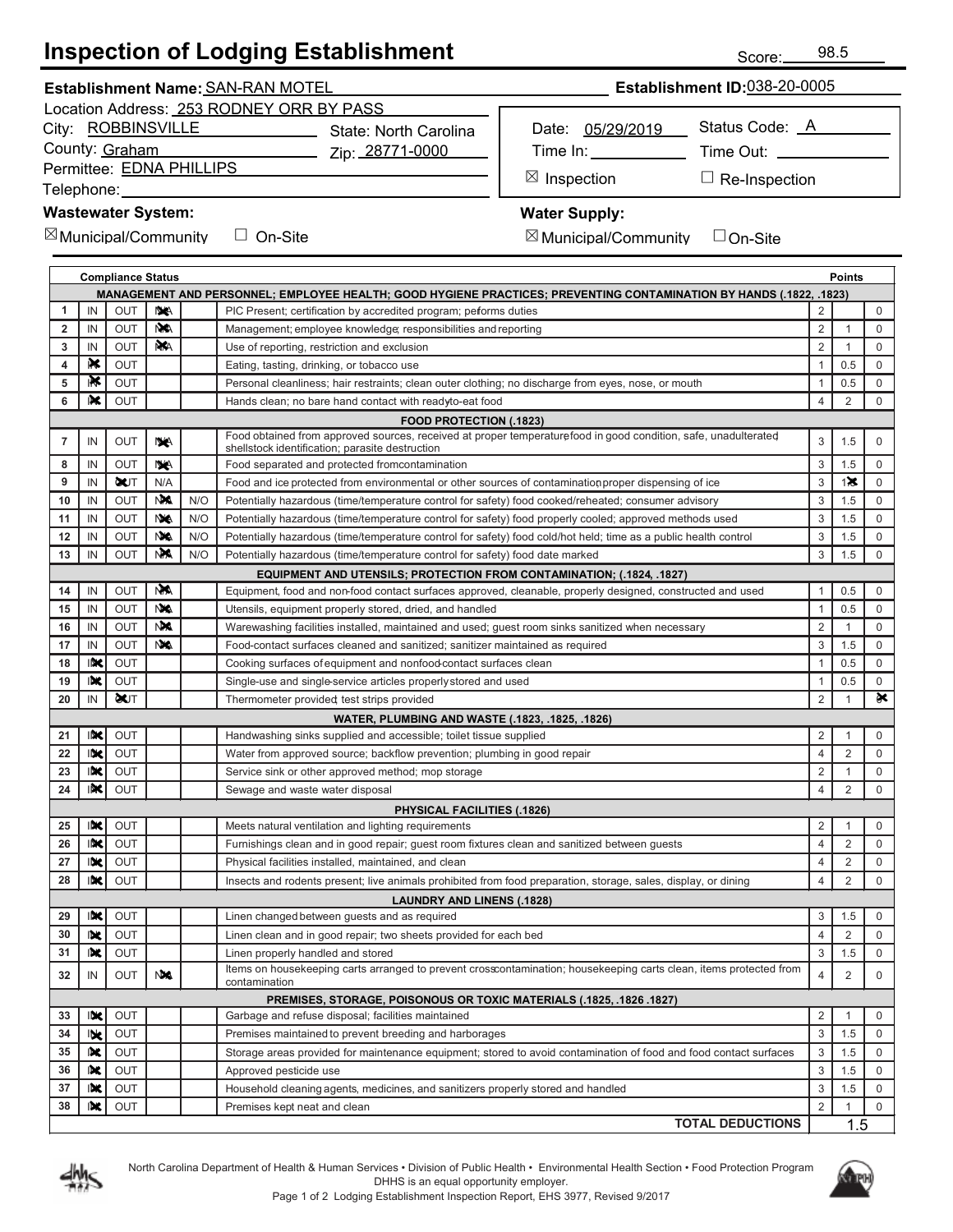# **Inspection of Lodging Establishment**

Zip: 28771-0000

#### City: ROBBINSVILLE County: Graham

Permittee: EDNA PHILLIPS

Telephone:

#### **Wastewater System:**

 $\boxtimes$  Municipal/Community  $\quad \Box$  On-Site

☐

| Date: 05/29/2019 | Status Code: A  |  |  |  |
|------------------|-----------------|--|--|--|
| Time In:         | Time Out: _____ |  |  |  |
|                  |                 |  |  |  |

Inspection □ Re-Inspection

### **Water Supply:**

⊠ Ir

 $\boxtimes$  Municipal/Community  $\quad \Box$  On-Site

☐

| <b>Compliance Status</b><br>Points                                                                                        |                                                                      |             |            |     |                                                                                                                                                                    |                |                |             |
|---------------------------------------------------------------------------------------------------------------------------|----------------------------------------------------------------------|-------------|------------|-----|--------------------------------------------------------------------------------------------------------------------------------------------------------------------|----------------|----------------|-------------|
| (1822, .1822, .1827) MANAGEMENT AND PERSONNEL; EMPLOYEE HEALTH; GOOD HYGIENE PRACTICES; PREVENTING CONTAMINATION BY HANDS |                                                                      |             |            |     |                                                                                                                                                                    |                |                |             |
| 1                                                                                                                         | IN                                                                   | OUT         | NA.        |     | PIC Present; certification by accredited program; performs duties                                                                                                  | 2              |                | $\mathbf 0$ |
| $\overline{2}$                                                                                                            | IN                                                                   | <b>OUT</b>  | N/A        |     | Management; employee knowledge; responsibilities and reporting                                                                                                     | 2              | $\mathbf{1}$   | $\mathbf 0$ |
| 3                                                                                                                         | IN                                                                   | OUT         | <b>NAA</b> |     | Use of reporting, restriction and exclusion                                                                                                                        | $\overline{2}$ | $\mathbf{1}$   | $\mathbf 0$ |
| 4                                                                                                                         | R≮                                                                   | <b>OUT</b>  |            |     | Eating, tasting, drinking, or tobacco use                                                                                                                          | 1              | 0.5            | $\mathbf 0$ |
| 5                                                                                                                         | ⊪X                                                                   | OUT         |            |     | Personal cleanliness; hair restraints; clean outer clothing; no discharge from eyes, nose, or mouth                                                                | 1              | 0.5            | $\mathbf 0$ |
| 6                                                                                                                         | I×€                                                                  | <b>OUT</b>  |            |     | Hands clean; no bare hand contact with readyto-eat food                                                                                                            | $\overline{4}$ | 2              | $\mathbf 0$ |
|                                                                                                                           |                                                                      |             |            |     | <b>FOOD PROTECTION (.1823)</b>                                                                                                                                     |                |                |             |
| 7                                                                                                                         | IN                                                                   | OUT         | <b>NA</b>  |     | Food obtained from approved sources, received at proper temperature food in good condition, safe, unadulterated<br>shellstock identification; parasite destruction | 3              | 1.5            | $\mathbf 0$ |
| 8                                                                                                                         | IN                                                                   | OUT         | NA.        |     | Food separated and protected fromcontamination                                                                                                                     | 3              | 1.5            | $\mathbf 0$ |
| 9                                                                                                                         | IN                                                                   | <b>QUT</b>  | N/A        |     | Food and ice protected from environmental or other sources of contamination proper dispensing of ice                                                               | 3              | $1 \times$     | $\mathbf 0$ |
| 10                                                                                                                        | IN                                                                   | OUT         | <b>NA</b>  | N/O | Potentially hazardous (time/temperature control for safety) food cooked/reheated; consumer advisory                                                                | 3              | 1.5            | $\mathbf 0$ |
| 11                                                                                                                        | IN                                                                   | <b>OUT</b>  | <b>NA</b>  | N/O | Potentially hazardous (time/temperature control for safety) food properly cooled; approved methods used                                                            | 3              | 1.5            | $\mathbf 0$ |
| 12                                                                                                                        | IN                                                                   | <b>OUT</b>  | <b>NA</b>  | N/O | Potentially hazardous (time/temperature control for safety) food cold/hot held; time as a public health control                                                    | 3              | 1.5            | $\mathbf 0$ |
| 13                                                                                                                        | IN                                                                   | <b>OUT</b>  | NM         | N/O | Potentially hazardous (time/temperature control for safety) food date marked                                                                                       | 3              | 1.5            | $\mathbf 0$ |
|                                                                                                                           |                                                                      |             |            |     | <b>EQUIPMENT AND UTENSILS; PROTECTION FROM CONTAMINATION; (.1824, .1827)</b>                                                                                       |                |                |             |
| 14                                                                                                                        | IN                                                                   | OUT         | <b>NA</b>  |     | Equipment, food and non-food contact surfaces approved, cleanable, properly designed, constructed and used                                                         | 1              | 0.5            | 0           |
| 15                                                                                                                        | IN                                                                   | <b>OUT</b>  | <b>NA</b>  |     | Utensils, equipment properly stored, dried, and handled                                                                                                            | 1              | 0.5            | $\mathbf 0$ |
| 16                                                                                                                        | IN                                                                   | <b>OUT</b>  | N.A        |     | Warewashing facilities installed, maintained and used; guest room sinks sanitized when necessary                                                                   | $\overline{2}$ | 1              | $\mathbf 0$ |
| 17                                                                                                                        | IN                                                                   | <b>OUT</b>  | <b>NYA</b> |     | Food-contact surfaces cleaned and sanitized; sanitizer maintained as required                                                                                      | 3              | 1.5            | $\mathbf 0$ |
| 18                                                                                                                        | INC                                                                  | OUT         |            |     | Cooking surfaces of equipment and nonfood contact surfaces clean                                                                                                   |                | 0.5            | $\mathbf 0$ |
| 19                                                                                                                        | IDK.                                                                 | <b>OUT</b>  |            |     | Single-use and single-service articles properly stored and used                                                                                                    | 1              | 0.5            | $\mathbf 0$ |
| 20                                                                                                                        | IN                                                                   | <b>OCUT</b> |            |     | Thermometer provided test strips provided                                                                                                                          | $\overline{2}$ | $\mathbf{1}$   | ò¢          |
|                                                                                                                           |                                                                      |             |            |     | WATER, PLUMBING AND WASTE (.1823, .1825, .1826)                                                                                                                    |                |                |             |
| 21                                                                                                                        | N                                                                    | OUT         |            |     | Handwashing sinks supplied and accessible; toilet tissue supplied                                                                                                  | 2              | 1              | $\mathbf 0$ |
| 22                                                                                                                        | <b>INC</b>                                                           | OUT         |            |     | Water from approved source; backflow prevention; plumbing in good repair                                                                                           | 4              | 2              | $\mathbf 0$ |
| 23                                                                                                                        | INC                                                                  | OUT         |            |     | Service sink or other approved method; mop storage                                                                                                                 | 2              | $\mathbf{1}$   | $\mathbf 0$ |
| 24                                                                                                                        | INC                                                                  | OUT         |            |     | Sewage and waste water disposal                                                                                                                                    | 4              | 2              | $\mathbf 0$ |
|                                                                                                                           |                                                                      |             |            |     | <b>PHYSICAL FACILITIES (.1826)</b>                                                                                                                                 |                |                |             |
| 25                                                                                                                        | IK                                                                   | <b>OUT</b>  |            |     | Meets natural ventilation and lighting requirements                                                                                                                | $\overline{2}$ | 1              | $\mathbf 0$ |
| 26                                                                                                                        | INC.                                                                 | OUT         |            |     | Furnishings clean and in good repair; guest room fixtures clean and sanitized between guests                                                                       | 4              | 2              | $\mathbf 0$ |
| 27                                                                                                                        | INC                                                                  | OUT         |            |     | Physical facilities installed, maintained, and clean                                                                                                               | 4              | 2              | $\mathbf 0$ |
| 28                                                                                                                        | IX                                                                   | <b>OUT</b>  |            |     | Insects and rodents present; live animals prohibited from food preparation, storage, sales, display, or dining                                                     | $\overline{4}$ | 2              | $\mathbf 0$ |
|                                                                                                                           |                                                                      |             |            |     | <b>LAUNDRY AND LINENS (.1828)</b>                                                                                                                                  |                |                |             |
| 29                                                                                                                        | IX                                                                   | OUT         |            |     | Linen changed between guests and as required                                                                                                                       | 3              | 1.5            | 0           |
| 30                                                                                                                        | lik                                                                  | OUT         |            |     | Linen clean and in good repair; two sheets provided for each bed                                                                                                   | 4              | 2              | $\mathbf 0$ |
| 31                                                                                                                        | 映                                                                    | <b>OUT</b>  |            |     | Linen properly handled and stored                                                                                                                                  | 3              | 1.5            | $\mathbf 0$ |
| 32                                                                                                                        |                                                                      | IN OUT MA   |            |     | Items on housekeeping carts arranged to prevent crosscontamination; housekeeping carts clean, items protected from<br>contamination                                | 4              | $\overline{2}$ | $\mathbf 0$ |
|                                                                                                                           | PREMISES, STORAGE, POISONOUS OR TOXIC MATERIALS (.1825, .1826 .1827) |             |            |     |                                                                                                                                                                    |                |                |             |
| 33                                                                                                                        | $ \mathbf{K} $                                                       | OUT         |            |     | Garbage and refuse disposal; facilities maintained                                                                                                                 | 2              | $\mathbf{1}$   | $\mathbf 0$ |
| 34                                                                                                                        | <b>IDE</b>                                                           | OUT         |            |     | Premises maintained to prevent breeding and harborages                                                                                                             | 3              | 1.5            | $\mathbf 0$ |
| 35                                                                                                                        | 吠                                                                    | OUT         |            |     | Storage areas provided for maintenance equipment; stored to avoid contamination of food and food contact surfaces                                                  | 3              | 1.5            | $\mathbf 0$ |
| 36                                                                                                                        | 吠                                                                    | <b>OUT</b>  |            |     | Approved pesticide use                                                                                                                                             | 3              | 1.5            | 0           |
| 37                                                                                                                        | IDK.                                                                 | OUT         |            |     | Household cleaning agents, medicines, and sanitizers properly stored and handled                                                                                   | 3              | 1.5            | $\mathbf 0$ |
| 38                                                                                                                        | IDE.                                                                 | OUT         |            |     | Premises kept neat and clean                                                                                                                                       | 2              | $\mathbf{1}$   | 0           |
|                                                                                                                           |                                                                      |             |            |     | <b>TOTAL DEDUCTIONS</b>                                                                                                                                            |                | 1.5            |             |